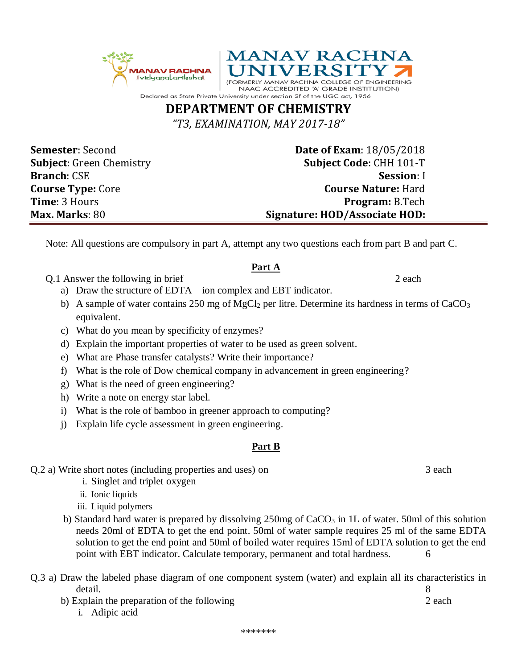

## **DEPARTMENT OF CHEMISTRY**

*"T3, EXAMINATION, MAY 2017-18"*

**Semester**: Second **Date of Exam**: 18/05/2018 **Subject**: Green Chemistry **Subject Code**: CHH 101-T **Branch**: CSE **Session**: I **Course Type:** Core **Course Nature:** Hard **Time**: 3 Hours **Program: B.Tech Max. Marks**: 80 **Signature: HOD/Associate HOD:**

**/ERSIT** 

NAAC ACCREDITED 'A' GRADE INSTITUTION)

COLLEGE OF ENGINEERING

Note: All questions are compulsory in part A, attempt any two questions each from part B and part C.

## **Part A**

Q.1 Answer the following in brief 2 each

- a) Draw the structure of EDTA ion complex and EBT indicator.
- b) A sample of water contains 250 mg of  $MgCl<sub>2</sub>$  per litre. Determine its hardness in terms of CaCO<sub>3</sub> equivalent.
- c) What do you mean by specificity of enzymes?
- d) Explain the important properties of water to be used as green solvent.
- e) What are Phase transfer catalysts? Write their importance?
- f) What is the role of Dow chemical company in advancement in green engineering?
- g) What is the need of green engineering?
- h) Write a note on energy star label.
- i) What is the role of bamboo in greener approach to computing?
- j) Explain life cycle assessment in green engineering.

## **Part B**

Q.2 a) Write short notes (including properties and uses) on 3 each

- i. Singlet and triplet oxygen
- ii. Ionic liquids
- iii. Liquid polymers
- b) Standard hard water is prepared by dissolving  $250mg$  of CaCO<sub>3</sub> in 1L of water. 50ml of this solution needs 20ml of EDTA to get the end point. 50ml of water sample requires 25 ml of the same EDTA solution to get the end point and 50ml of boiled water requires 15ml of EDTA solution to get the end point with EBT indicator. Calculate temporary, permanent and total hardness.  $\qquad 6$

| Q.3 a) Draw the labeled phase diagram of one component system (water) and explain all its characteristics in |        |
|--------------------------------------------------------------------------------------------------------------|--------|
| detail.                                                                                                      |        |
| b) Explain the preparation of the following                                                                  | 2 each |